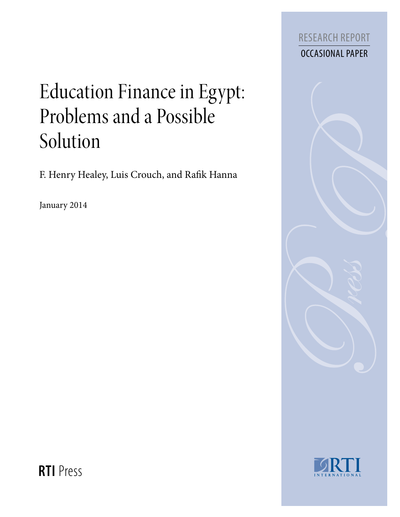

# Education Finance in Egypt: Problems and a Possible Solution

F. Henry Healey, Luis Crouch, and Rafik Hanna

January 2014





**RTI** Press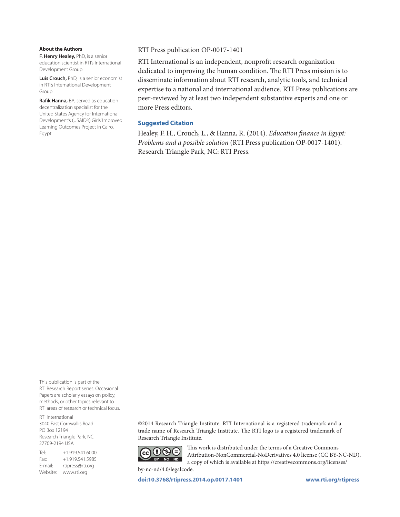#### **About the Authors**

**F. Henry Healey,** PhD, is a senior education scientist in RTI's International Development Group.

**Luis Crouch,** PhD, is a senior economist in RTI's International Development Group.

**Rafik Hanna,** BA, served as education decentralization specialist for the United States Agency for International Development's (USAID's) Girls' Improved Learning Outcomes Project in Cairo, Egypt.

#### RTI Press publication OP-0017-1401

RTI International is an independent, nonprofit research organization dedicated to improving the human condition. The RTI Press mission is to disseminate information about RTI research, analytic tools, and technical expertise to a national and international audience. RTI Press publications are peer-reviewed by at least two independent substantive experts and one or more Press editors.

#### **Suggested Citation**

Healey, F. H., Crouch, L., & Hanna, R. (2014). *Education finance in Egypt: Problems and a possible solution* (RTI Press publication OP-0017-1401). Research Triangle Park, NC: RTI Press.

This publication is part of the RTI Research Report series. Occasional Papers are scholarly essays on policy, methods, or other topics relevant to RTI areas of research or technical focus.

RTI International 3040 East Cornwallis Road PO Box 12194 Research Triangle Park, NC 27709-2194 USA

Tel: +1.919.541.6000 Fax: +1.919.541.5985 E-mail: rtipress@rti.org Website: www.rti.org

©2014 Research Triangle Institute. RTI International is a registered trademark and a trade name of Research Triangle Institute. The RTI logo is a registered trademark of Research Triangle Institute.



by-nc-nd/4.0/legalcode.

This work is distributed under the terms of a Creative Commons Attribution-NonCommercial-NoDerivatives 4.0 license (CC BY-NC-ND), a copy of which is available at https://creativecommons.org/licenses/

**[doi:10.3768/rtipress.2014.op.0017.1401](http://dx.doi.org/10.3768/rtipress.2014.op.0017.1401) www.rti.org/rtipress**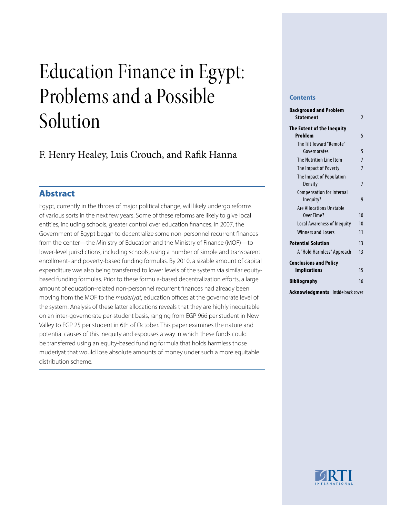# Education Finance in Egypt: Problems and a Possible Solution

# F. Henry Healey, Luis Crouch, and Rafik Hanna

# Abstract

Egypt, currently in the throes of major political change, will likely undergo reforms of various sorts in the next few years. Some of these reforms are likely to give local entities, including schools, greater control over education finances. In 2007, the Government of Egypt began to decentralize some non-personnel recurrent finances from the center—the Ministry of Education and the Ministry of Finance (MOF)—to lower-level jurisdictions, including schools, using a number of simple and transparent enrollment- and poverty-based funding formulas. By 2010, a sizable amount of capital expenditure was also being transferred to lower levels of the system via similar equitybased funding formulas. Prior to these formula-based decentralization efforts, a large amount of education-related non-personnel recurrent finances had already been moving from the MOF to the *muderiyat*, education offices at the governorate level of the system. Analysis of these latter allocations reveals that they are highly inequitable on an inter-governorate per-student basis, ranging from EGP 966 per student in New Valley to EGP 25 per student in 6th of October. This paper examines the nature and potential causes of this inequity and espouses a way in which these funds could be transferred using an equity-based funding formula that holds harmless those muderiyat that would lose absolute amounts of money under such a more equitable distribution scheme.

#### **Contents**

| <b>Background and Problem</b>                 |                |
|-----------------------------------------------|----------------|
| <b>Statement</b>                              | $\mathfrak z$  |
| The Extent of the Inequity<br>Problem         | 5              |
| The Tilt Toward "Remote"                      |                |
| Governorates                                  | 5              |
| The Nutrition Line Item                       | $\overline{7}$ |
| The Impact of Poverty                         | $\overline{7}$ |
| The Impact of Population<br>Density           | 7              |
| <b>Compensation for Internal</b><br>Inequity? | 9              |
| Are Allocations Unstable                      |                |
| Over Time?                                    | 10             |
| Local Awareness of Inequity                   | 10             |
| <b>Winners and Losers</b>                     | 11             |
| <b>Potential Solution</b>                     | 13             |
| A "Hold Harmless" Approach                    | 13             |
| <b>Conclusions and Policy</b>                 |                |
| <b>Implications</b>                           | 15             |
| <b>Bibliography</b>                           | 16             |
| Acknowledgments<br>Inside back cover          |                |

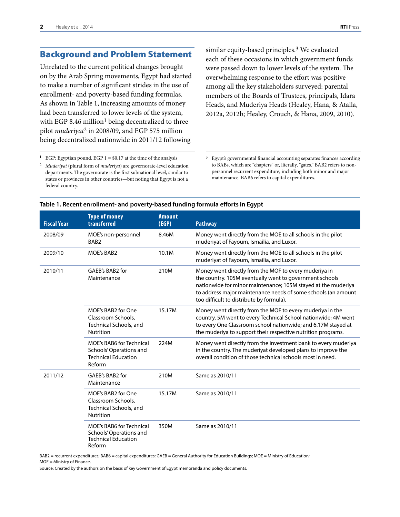## <span id="page-3-0"></span>Background and Problem Statement

Unrelated to the current political changes brought on by the Arab Spring movements, Egypt had started to make a number of significant strides in the use of enrollment- and poverty-based funding formulas. As shown in Table 1, increasing amounts of money had been transferred to lower levels of the system, with EGP 8.46 million<sup>1</sup> being decentralized to three pilot *muderiyat*2 in 2008/09, and EGP 575 million being decentralized nationwide in 2011/12 following

similar equity-based principles.<sup>3</sup> We evaluated each of these occasions in which government funds were passed down to lower levels of the system. The overwhelming response to the effort was positive among all the key stakeholders surveyed: parental members of the Boards of Trustees, principals, Idara Heads, and Muderiya Heads (Healey, Hana, & Atalla, 2012a, 2012b; Healey, Crouch, & Hana, 2009, 2010).

<sup>1</sup> EGP: Egyptian pound. EGP  $1 = $0.17$  at the time of the analysis

2 *Muderiyat* (plural form of *muderiya*) are governorate-level education departments. The governorate is the first subnational level, similar to states or provinces in other countries—but noting that Egypt is not a federal country.

3 Egypt's governmental financial accounting separates finances according to BABs, which are "chapters" or, literally, "gates." BAB2 refers to nonpersonnel recurrent expenditure, including both minor and major maintenance. BAB6 refers to capital expenditures.

| <b>Fiscal Year</b> | <b>Type of money</b><br>transferred                                                                | <b>Amount</b><br>(EGP) | <b>Pathway</b>                                                                                                                                                                                                                                                                                 |
|--------------------|----------------------------------------------------------------------------------------------------|------------------------|------------------------------------------------------------------------------------------------------------------------------------------------------------------------------------------------------------------------------------------------------------------------------------------------|
| 2008/09            | MOE's non-personnel<br>BAB <sub>2</sub>                                                            | 8.46M                  | Money went directly from the MOE to all schools in the pilot<br>muderiyat of Fayoum, Ismailia, and Luxor.                                                                                                                                                                                      |
| 2009/10            | <b>MOE's BAB2</b>                                                                                  | 10.1M                  | Money went directly from the MOE to all schools in the pilot<br>muderiyat of Fayoum, Ismailia, and Luxor.                                                                                                                                                                                      |
| 2010/11            | GAEB's BAB2 for<br>Maintenance                                                                     | 210M                   | Money went directly from the MOF to every muderiya in<br>the country. 105M eventually went to government schools<br>nationwide for minor maintenance; 105M stayed at the muderiya<br>to address major maintenance needs of some schools (an amount<br>too difficult to distribute by formula). |
|                    | MOE's BAB2 for One<br>Classroom Schools.<br><b>Technical Schools, and</b><br><b>Nutrition</b>      | 15.17M                 | Money went directly from the MOF to every muderiya in the<br>country. 5M went to every Technical School nationwide; 4M went<br>to every One Classroom school nationwide; and 6.17M stayed at<br>the muderiya to support their respective nutrition programs.                                   |
|                    | <b>MOE's BAB6 for Technical</b><br>Schools' Operations and<br><b>Technical Education</b><br>Reform | 224M                   | Money went directly from the investment bank to every muderiya<br>in the country. The muderiyat developed plans to improve the<br>overall condition of those technical schools most in need.                                                                                                   |
| 2011/12            | GAEB's BAB2 for<br>Maintenance                                                                     | 210M                   | Same as 2010/11                                                                                                                                                                                                                                                                                |
|                    | MOE's BAB2 for One<br>Classroom Schools,<br>Technical Schools, and<br><b>Nutrition</b>             | 15.17M                 | Same as 2010/11                                                                                                                                                                                                                                                                                |
|                    | <b>MOE's BAB6 for Technical</b><br>Schools' Operations and<br><b>Technical Education</b><br>Reform | 350M                   | Same as 2010/11                                                                                                                                                                                                                                                                                |

#### **Table 1. Recent enrollment- and poverty-based funding formula efforts in Egypt**

BAB2 = recurrent expenditures; BAB6 = capital expenditures; GAEB = General Authority for Education Buildings; MOE = Ministry of Education; MOF = Ministry of Finance.

Source: Created by the authors on the basis of key Government of Egypt memoranda and policy documents.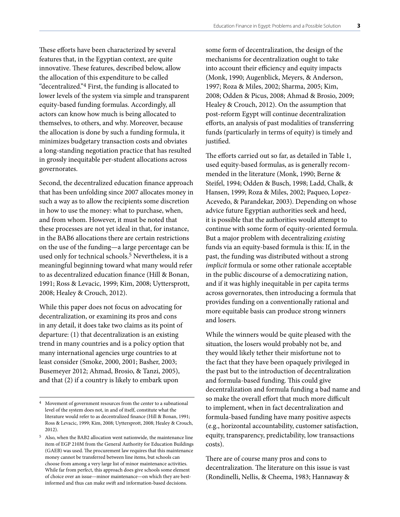These efforts have been characterized by several features that, in the Egyptian context, are quite innovative. These features, described below, allow the allocation of this expenditure to be called "decentralized."4 First, the funding is allocated to lower levels of the system via simple and transparent equity-based funding formulas. Accordingly, all actors can know how much is being allocated to themselves, to others, and why. Moreover, because the allocation is done by such a funding formula, it minimizes budgetary transaction costs and obviates a long-standing negotiation practice that has resulted in grossly inequitable per-student allocations across governorates.

Second, the decentralized education finance approach that has been unfolding since 2007 allocates money in such a way as to allow the recipients some discretion in how to use the money: what to purchase, when, and from whom. However, it must be noted that these processes are not yet ideal in that, for instance, in the BAB6 allocations there are certain restrictions on the use of the funding—a large percentage can be used only for technical schools.<sup>5</sup> Nevertheless, it is a meaningful beginning toward what many would refer to as decentralized education finance (Hill & Bonan, 1991; Ross & Levacic, 1999; Kim, 2008; Uyttersprott, 2008; Healey & Crouch, 2012).

While this paper does not focus on advocating for decentralization, or examining its pros and cons in any detail, it does take two claims as its point of departure: (1) that decentralization is an existing trend in many countries and is a policy option that many international agencies urge countries to at least consider (Smoke, 2000, 2001; Basher, 2003; Busemeyer 2012; Ahmad, Brosio, & Tanzi, 2005), and that (2) if a country is likely to embark upon

some form of decentralization, the design of the mechanisms for decentralization ought to take into account their efficiency and equity impacts (Monk, 1990; Augenblick, Meyers, & Anderson, 1997; Roza & Miles, 2002; Sharma, 2005; Kim, 2008; Odden & Picus, 2008; Ahmad & Brosio, 2009; Healey & Crouch, 2012). On the assumption that post-reform Egypt will continue decentralization efforts, an analysis of past modalities of transferring funds (particularly in terms of equity) is timely and justified.

The efforts carried out so far, as detailed in Table 1, used equity-based formulas, as is generally recommended in the literature (Monk, 1990; Berne & Steifel, 1994; Odden & Busch, 1998; Ladd, Chalk, & Hansen, 1999; Roza & Miles, 2002; Paqueo, Lopez-Acevedo, & Parandekar, 2003). Depending on whose advice future Egyptian authorities seek and heed, it is possible that the authorities would attempt to continue with some form of equity-oriented formula. But a major problem with decentralizing *existing* funds via an equity-based formula is this: If, in the past, the funding was distributed without a strong *implicit* formula or some other rationale acceptable in the public discourse of a democratizing nation, and if it was highly inequitable in per capita terms across governorates, then introducing a formula that provides funding on a conventionally rational and more equitable basis can produce strong winners and losers.

While the winners would be quite pleased with the situation, the losers would probably not be, and they would likely tether their misfortune not to the fact that they have been opaquely privileged in the past but to the introduction of decentralization and formula-based funding. This could give decentralization and formula funding a bad name and so make the overall effort that much more difficult to implement, when in fact decentralization and formula-based funding have many positive aspects (e.g., horizontal accountability, customer satisfaction, equity, transparency, predictability, low transactions costs).

There are of course many pros and cons to decentralization. The literature on this issue is vast (Rondinelli, Nellis, & Cheema, 1983; Hannaway &

<sup>4</sup> Movement of government resources from the center to a subnational level of the system does not, in and of itself, constitute what the literature would refer to as decentralized finance (Hill & Bonan, 1991; Ross & Levacic, 1999; Kim, 2008; Uyttersprott, 2008; Healey & Crouch, 2012).

<sup>5</sup> Also, when the BAB2 allocation went nationwide, the maintenance line item of EGP 210M from the General Authority for Education Buildings (GAEB) was used. The procurement law requires that this maintenance money cannot be transferred between line items, but schools can choose from among a very large list of minor maintenance activities. While far from perfect, this approach does give schools some element of choice over an issue—minor maintenance—on which they are bestinformed and thus can make swift and information-based decisions.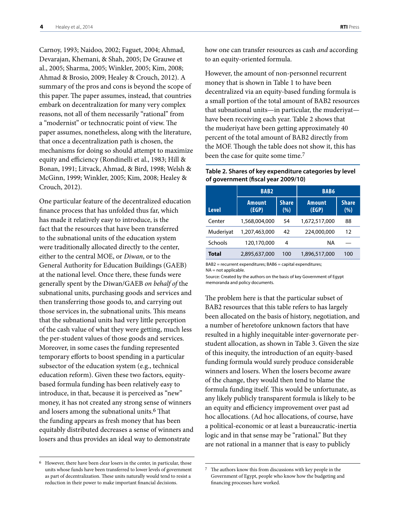Carnoy, 1993; Naidoo, 2002; Faguet, 2004; Ahmad, Devarajan, Khemani, & Shah, 2005; De Grauwe et al., 2005; Sharma, 2005; Winkler, 2005; Kim, 2008; Ahmad & Brosio, 2009; Healey & Crouch, 2012). A summary of the pros and cons is beyond the scope of this paper. The paper assumes, instead, that countries embark on decentralization for many very complex reasons, not all of them necessarily "rational" from a "modernist" or technocratic point of view. The paper assumes, nonetheless, along with the literature, that once a decentralization path is chosen, the mechanisms for doing so should attempt to maximize equity and efficiency (Rondinelli et al., 1983; Hill & Bonan, 1991; Litvack, Ahmad, & Bird, 1998; Welsh & McGinn, 1999; Winkler, 2005; Kim, 2008; Healey & Crouch, 2012).

One particular feature of the decentralized education finance process that has unfolded thus far, which has made it relatively easy to introduce, is the fact that the resources that have been transferred to the subnational units of the education system were traditionally allocated directly to the center, either to the central MOE, or *Diwan*, or to the General Authority for Education Buildings (GAEB) at the national level. Once there, these funds were generally spent by the Diwan/GAEB *on behalf of* the subnational units, purchasing goods and services and then transferring those goods to, and carrying out those services in, the subnational units. This means that the subnational units had very little perception of the cash value of what they were getting, much less the per-student values of those goods and services. Moreover, in some cases the funding represented temporary efforts to boost spending in a particular subsector of the education system (e.g., technical education reform). Given these two factors, equitybased formula funding has been relatively easy to introduce, in that, because it is perceived as "new" money, it has not created any strong sense of winners and losers among the subnational units.<sup>6</sup> That the funding appears as fresh money that has been equitably distributed decreases a sense of winners and losers and thus provides an ideal way to demonstrate

how one can transfer resources as cash *and* according to an equity-oriented formula.

However, the amount of non-personnel recurrent money that is shown in Table 1 to have been decentralized via an equity-based funding formula is a small portion of the total amount of BAB2 resources that subnational units—in particular, the muderiyat have been receiving each year. Table 2 shows that the muderiyat have been getting approximately 40 percent of the total amount of BAB2 directly from the MOF. Though the table does not show it, this has been the case for quite some time.<sup>7</sup>

#### **Table 2. Shares of key expenditure categories by level of government (fiscal year 2009/10)**

|              | <b>BAB2</b>            |                     | <b>BAB6</b>            |                     |  |  |
|--------------|------------------------|---------------------|------------------------|---------------------|--|--|
| <b>Level</b> | <b>Amount</b><br>(EGP) | <b>Share</b><br>(%) | <b>Amount</b><br>(EGP) | <b>Share</b><br>(%) |  |  |
| Center       | 1,568,004,000          | 54                  | 1,672,517,000          | 88                  |  |  |
| Muderiyat    | 1,207,463,000          | 42                  | 224,000,000            | 12                  |  |  |
| Schools      | 120,170,000            | 4                   | ΝA                     |                     |  |  |
| <b>Total</b> | 2,895,637,000          | 100                 | 1,896,517,000          | 100                 |  |  |

BAB2 = recurrent expenditures; BAB6 = capital expenditures; NA = not applicable.

Source: Created by the authors on the basis of key Government of Egypt memoranda and policy documents.

The problem here is that the particular subset of BAB2 resources that this table refers to has largely been allocated on the basis of history, negotiation, and a number of heretofore unknown factors that have resulted in a highly inequitable inter-governorate perstudent allocation, as shown in Table 3. Given the size of this inequity, the introduction of an equity-based funding formula would surely produce considerable winners and losers. When the losers become aware of the change, they would then tend to blame the formula funding itself. This would be unfortunate, as any likely publicly transparent formula is likely to be an equity and efficiency improvement over past ad hoc allocations. (Ad hoc allocations, of course, have a political-economic or at least a bureaucratic-inertia logic and in that sense may be "rational." But they are not rational in a manner that is easy to publicly

<sup>6</sup> However, there have been clear losers in the center, in particular, those units whose funds have been transferred to lower levels of government as part of decentralization. These units naturally would tend to resist a reduction in their power to make important financial decisions.

 $^7\:$  The authors know this from discussions with key people in the Government of Egypt, people who know how the budgeting and financing processes have worked.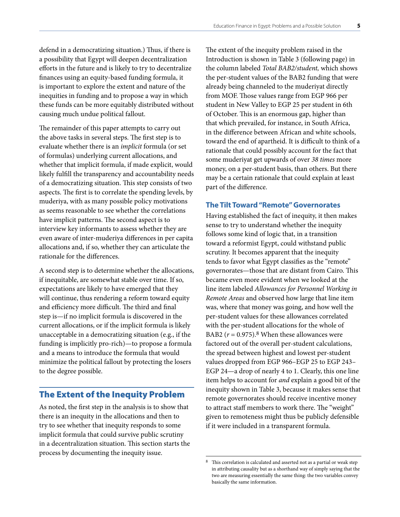<span id="page-6-0"></span>defend in a democratizing situation.) Thus, if there is a possibility that Egypt will deepen decentralization efforts in the future and is likely to try to decentralize finances using an equity-based funding formula, it is important to explore the extent and nature of the inequities in funding and to propose a way in which these funds can be more equitably distributed without causing much undue political fallout.

The remainder of this paper attempts to carry out the above tasks in several steps. The first step is to evaluate whether there is an *implicit* formula (or set of formulas) underlying current allocations, and whether that implicit formula, if made explicit, would likely fulfill the transparency and accountability needs of a democratizing situation. This step consists of two aspects. The first is to correlate the spending levels, by muderiya, with as many possible policy motivations as seems reasonable to see whether the correlations have implicit patterns. The second aspect is to interview key informants to assess whether they are even aware of inter-muderiya differences in per capita allocations and, if so, whether they can articulate the rationale for the differences.

A second step is to determine whether the allocations, if inequitable, are somewhat stable over time. If so, expectations are likely to have emerged that they will continue, thus rendering a reform toward equity and efficiency more difficult. The third and final step is—if no implicit formula is discovered in the current allocations, or if the implicit formula is likely unacceptable in a democratizing situation (e.g., if the funding is implicitly pro-rich)—to propose a formula and a means to introduce the formula that would minimize the political fallout by protecting the losers to the degree possible.

### The Extent of the Inequity Problem

As noted, the first step in the analysis is to show that there is an inequity in the allocations and then to try to see whether that inequity responds to some implicit formula that could survive public scrutiny in a decentralization situation. This section starts the process by documenting the inequity issue.

The extent of the inequity problem raised in the Introduction is shown in Table 3 (following page) in the column labeled *Total BAB2/student,* which shows the per-student values of the BAB2 funding that were already being channeled to the muderiyat directly from MOF. Those values range from EGP 966 per student in New Valley to EGP 25 per student in 6th of October. This is an enormous gap, higher than that which prevailed, for instance, in South Africa, in the difference between African and white schools, toward the end of apartheid. It is difficult to think of a rationale that could possibly account for the fact that some muderiyat get upwards of over *38 times* more money, on a per-student basis, than others. But there may be a certain rationale that could explain at least part of the difference.

#### **The Tilt Toward "Remote" Governorates**

Having established the fact of inequity, it then makes sense to try to understand whether the inequity follows some kind of logic that, in a transition toward a reformist Egypt, could withstand public scrutiny. It becomes apparent that the inequity tends to favor what Egypt classifies as the "remote" governorates—those that are distant from Cairo. This became even more evident when we looked at the line item labeled *Allowances for Personnel Working in Remote Areas* and observed how large that line item was, where that money was going, and how well the per-student values for these allowances correlated with the per-student allocations for the whole of BAB2 ( $r = 0.975$ ).<sup>8</sup> When these allowances were factored out of the overall per-student calculations, the spread between highest and lowest per-student values dropped from EGP 966–EGP 25 to EGP 243– EGP 24—a drop of nearly 4 to 1. Clearly, this one line item helps to account for *and* explain a good bit of the inequity shown in Table 3, because it makes sense that remote governorates should receive incentive money to attract staff members to work there. The "weight" given to remoteness might thus be publicly defensible if it were included in a transparent formula.

This correlation is calculated and asserted not as a partial or weak step in attributing causality but as a shorthand way of simply saying that the two are measuring essentially the same thing: the two variables convey basically the same information.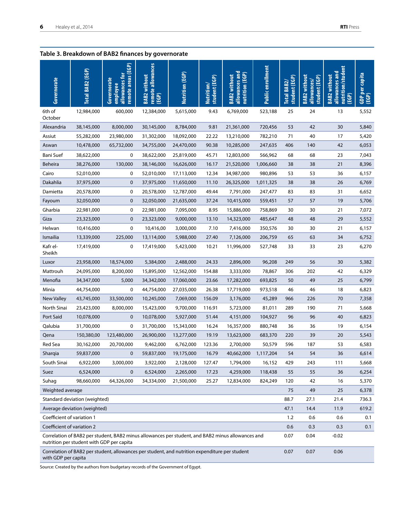#### **Table 3. Breakdown of BAB2 finances by governorate Governorate Total BAB2 (EGP) Governorate employee allowances for remote areas (EGP) BAB2 without remote allowances (EGP) Nutrition (EGP) nutrition/student Public enrollment** Public enrollment nutrition/studen **allowances and allowances and**  capita allowances and nutrition (EGP) allowances and **GDP per capita nutrition (EGP)** without **BAB2 without BAB2 without BAB2** without **BAB2 without**  student (EGP) **student (EGP)** student (EGP) **student (EGP) BAB2** without student (EGP) **student (EGP)** allowances/ **allowances/** Total BAB2/ **Total BAB2/** Nutrition/ **Nutrition/ (EGP) BAB2 (EGP)** 6th of 12,984,000 600,000 12,384,000 5,615,000 9.43 6,769,000 523,188 25 24 13 5,552 **October** Alexandria 38,145,000 8,000,000 30,145,000 8,784,000 9.81 21,361,000 720,456 53 42 30 5,840 Assiut 55,282,000 23,980,000 31,302,000 18,092,000 22.22 13,210,000 782,210 71 40 17 5,420 Aswan 10,478,000 65,732,000 34,755,000 24,470,000 90.38 10,285,000 247,635 406 140 42 6,053 Bani Suef 38,622,000 0 38,622,000 25,819,000 45.71 12,803,000 566,962 68 68 23 7,043 Beheira 38,276,000 130,000 38,146,000 16,626,000 16.17 21,520,000 1,006,660 38 38 21 8,396 Cairo 52,010,000 0 52,010,000 17,113,000 12.34 34,987,000 980,896 53 53 36 6,157 Dakahlia 37,975,000 0 37,975,000 11,650,000 11.10 26,325,000 1,011,325 38 38 26 6,769 Damietta 20,578,000 0 20,578,000 12,787,000 49.44 7,791,000 247,477 83 83 31 6,652 Fayoum 32,050,000 0 32,050,000 21,635,000 37.24 10,415,000 559,451 57 57 19 5,706 Gharbia 22,981,000 0 22,981,000 7,095,000 8.95 15,886,000 758,869 30 30 21 7,072 Giza 23,323,000 0 23,323,000 9,000,000 13.10 14,323,000 485,647 48 48 29 5,552 Helwan 10,416,000 0 10,416,00 3,000,000 7.10 7,416,000 350,576 30 30 21 6,157 Ismailia 13,339,000 225,000 13,114,000 5,988,000 27.40 7,126,000 206,759 65 63 34 6,752 Kafr el-17,419,000 0 17,419,000 5,423,000 10.21 11,996,000 527,748 33 33 23 6,270 Sheikh Luxor 23,958,000 18,574,000 5,384,000 2,488,000 24.33 2,896,000 96,208 249 56 30 5,382 Mattrouh 24,095,000 8,200,000 15,895,000 12,562,000 154.88 3,333,000 78,867 306 202 42 6,329 Menofia 34,347,000 5,000 34,342,000 17,060,000 23.66 17,282,000 693,825 50 49 25 6,799 Minia 44,754,000 0 44,754,000 27,035,000 26.38 17,719,000 973,518 46 46 18 6,823 New Valley 43,745,000 33,500,000 10,245,000 7,069,000 156.09 3,176,000 45,289 966 226 70 7,358 North Sinai 23,423,000 8,000,000 15,423,000 9,700,000 116.91 5,723,000 81,011 289 190 71 5,668 Port Said 10,078,000 0 10,078,000 5,927,000 51.44 4,151,000 104,927 96 96 40 6,823 Qalubia 31,700,000 0 31,700,000 15,343,000 16.24 16,357,000 880,748 36 36 19 6,154 Qena 150,380,00 123,480,000 26,900,000 13,277,000 19.19 13,623,000 683,370 220 39 20 5,543 Red Sea 30,162,000 20,700,000 9,462,000 6,762,000 123.36 2,700,000 50,579 596 187 53 6,583 Sharqia 59,837,000 0 59,837,000 19,175,000 16.79 40,662,000 1,117,204 54 54 36 6,614 South Sinai 6,922,000 3,000,000 3,922,000 2,128,000 127.47 1,794,000 16,152 429 243 111 5,668 Suez 6,524,000 0 6,524,000 2,265,000 17.23 4,259,000 118,438 55 55 36 6,254 Suhag 98,660,000 64,326,000 34,334,000 21,500,000 25.27 12,834,000 824,249 120 42 16 5,370 weighted average 75 25 6,378 and 25 6,378 and 25 and 25 and 25 and 25 and 25 and 25 and 25 and 25 and 25 and 25 and 25 and 25 and 25 and 25 and 25 and 25 and 25 and 25 and 25 and 25 and 25 and 25 and 25 and 25 and 25 and 2 Standard deviation (weighted) 88.7 27.1 21.4 736.3 Average deviation (weighted) and the control of the control of the control of the control of the control of the control of the control of the control of the control of the control of the control of the control of the contr Coefficient of variation 1 1.2 0.6 0.1 Coefficient of variation 2 0.6 0.3 0.3 0.1 Correlation of BAB2 per student, BAB2 minus allowances per student, and BAB2 minus allowances and 0.07 0.04 -0.02 nutrition per student with GDP per capita Correlation of BAB2 per student, allowances per student, and nutrition expenditure per student 0.07 0.07 0.06 with GDP per capita

Source: Created by the authors from budgetary records of the Government of Egypt.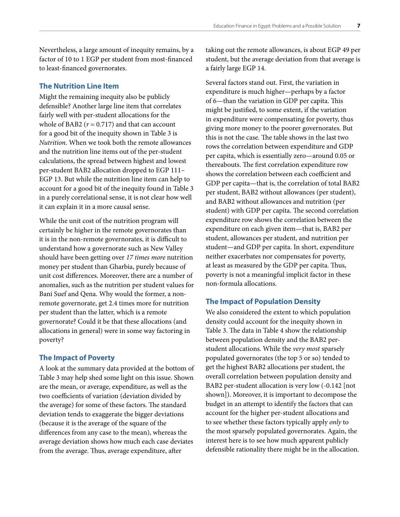<span id="page-8-0"></span>Nevertheless, a large amount of inequity remains, by a factor of 10 to 1 EGP per student from most-financed to least-financed governorates.

#### **The Nutrition Line Item**

Might the remaining inequity also be publicly defensible? Another large line item that correlates fairly well with per-student allocations for the whole of BAB2  $(r = 0.717)$  and that can account for a good bit of the inequity shown in Table 3 is *Nutrition.* When we took both the remote allowances and the nutrition line items out of the per-student calculations, the spread between highest and lowest per-student BAB2 allocation dropped to EGP 111– EGP 13. But while the nutrition line item can help to account for a good bit of the inequity found in Table 3 in a purely correlational sense, it is not clear how well it can explain it in a more causal sense.

While the unit cost of the nutrition program will certainly be higher in the remote governorates than it is in the non-remote governorates, it is difficult to understand how a governorate such as New Valley should have been getting over *17 times more* nutrition money per student than Gharbia, purely because of unit cost differences. Moreover, there are a number of anomalies, such as the nutrition per student values for Bani Suef and Qena. Why would the former, a nonremote governorate, get 2.4 times more for nutrition per student than the latter, which is a remote governorate? Could it be that these allocations (and allocations in general) were in some way factoring in poverty?

#### **The Impact of Poverty**

A look at the summary data provided at the bottom of Table 3 may help shed some light on this issue. Shown are the mean, or average, expenditure, as well as the two coefficients of variation (deviation divided by the average) for some of these factors. The standard deviation tends to exaggerate the bigger deviations (because it is the average of the square of the differences from any case to the mean), whereas the average deviation shows how much each case deviates from the average. Thus, average expenditure, after

taking out the remote allowances, is about EGP 49 per student, but the average deviation from that average is a fairly large EGP 14.

Several factors stand out. First, the variation in expenditure is much higher—perhaps by a factor of 6—than the variation in GDP per capita. This might be justified, to some extent, if the variation in expenditure were compensating for poverty, thus giving more money to the poorer governorates. But this is not the case. The table shows in the last two rows the correlation between expenditure and GDP per capita, which is essentially zero—around 0.05 or thereabouts. The first correlation expenditure row shows the correlation between each coefficient and GDP per capita—that is, the correlation of total BAB2 per student, BAB2 without allowances (per student), and BAB2 without allowances and nutrition (per student) with GDP per capita. The second correlation expenditure row shows the correlation between the expenditure on each given item—that is, BAB2 per student, allowances per student, and nutrition per student—and GDP per capita. In short, expenditure neither exacerbates nor compensates for poverty, at least as measured by the GDP per capita. Thus, poverty is not a meaningful implicit factor in these non-formula allocations.

#### **The Impact of Population Density**

We also considered the extent to which population density could account for the inequity shown in Table 3. The data in Table 4 show the relationship between population density and the BAB2 perstudent allocations. While the *very most* sparsely populated governorates (the top 5 or so) tended to get the highest BAB2 allocations per student, the overall correlation between population density and BAB2 per-student allocation is very low (-0.142 [not shown]). Moreover, it is important to decompose the budget in an attempt to identify the factors that can account for the higher per-student allocations and to see whether these factors typically apply *only* to the most sparsely populated governorates. Again, the interest here is to see how much apparent publicly defensible rationality there might be in the allocation.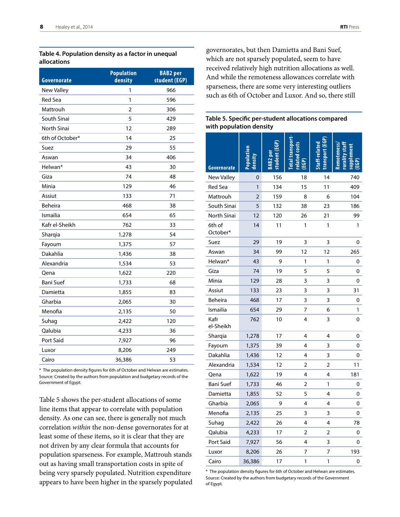#### **Table 4. Population density as a factor in unequal allocations**

| Governorate       | <b>Population</b><br>density | <b>BAB2</b> per<br>student (EGP) |
|-------------------|------------------------------|----------------------------------|
| <b>New Valley</b> | 1                            | 966                              |
| Red Sea           | 1                            | 596                              |
| Mattrouh          | 2                            | 306                              |
| South Sinai       | 5                            | 429                              |
| North Sinai       | 12                           | 289                              |
| 6th of October*   | 14                           | 25                               |
| Suez              | 29                           | 55                               |
| Aswan             | 34                           | 406                              |
| Helwan*           | 43                           | 30                               |
| Giza              | 74                           | 48                               |
| Minia             | 129                          | 46                               |
| Assiut            | 133                          | 71                               |
| <b>Beheira</b>    | 468                          | 38                               |
| Ismailia          | 654                          | 65                               |
| Kafr el-Sheikh    | 762                          | 33                               |
| Sharqia           | 1,278                        | 54                               |
| Fayoum            | 1,375                        | 57                               |
| Dakahlia          | 1,436                        | 38                               |
| Alexandria        | 1,534                        | 53                               |
| Qena              | 1,622                        | 220                              |
| <b>Bani Suef</b>  | 1,733                        | 68                               |
| Damietta          | 1,855                        | 83                               |
| Gharbia           | 2,065                        | 30                               |
| Menofia           | 2,135                        | 50                               |
| Suhag             | 2,422                        | 120                              |
| Qalubia           | 4,233                        | 36                               |
| Port Said         | 7,927                        | 96                               |
| Luxor             | 8,206                        | 249                              |
| Cairo             | 36,386                       | 53                               |

\* The population density figures for 6th of October and Helwan are estimates. Source: Created by the authors from population and budgetary records of the Government of Egypt.

Table 5 shows the per-student allocations of some line items that appear to correlate with population density. As one can see, there is generally not much correlation *within* the non-dense governorates for at least some of these items, so it is clear that they are not driven by any clear formula that accounts for population sparseness. For example, Mattrouh stands out as having small transportation costs in spite of being very sparsely populated. Nutrition expenditure appears to have been higher in the sparsely populated governorates, but then Damietta and Bani Suef, which are not sparsely populated, seem to have received relatively high nutrition allocations as well. And while the remoteness allowances correlate with sparseness, there are some very interesting outliers such as 6th of October and Luxor. And so, there still

#### **Table 5. Specific per-student allocations compared with population density**

| Governorate        |                |     | elated<br>EGP) |    |     |
|--------------------|----------------|-----|----------------|----|-----|
| <b>New Valley</b>  | 0              | 156 | 18             | 14 | 740 |
| <b>Red Sea</b>     | 1              | 134 | 15             | 11 | 409 |
| Mattrouh           | $\overline{2}$ | 159 | 8              | 6  | 104 |
| South Sinai        | 5              | 132 | 38             | 23 | 186 |
| North Sinai        | 12             | 120 | 26             | 21 | 99  |
| 6th of<br>October* | 14             | 11  | 1              | 1  | 1   |
| Suez               | 29             | 19  | 3              | 3  | 0   |
| Aswan              | 34             | 99  | 12             | 12 | 265 |
| Helwan*            | 43             | 9   | 1              | 1  | 0   |
| Giza               | 74             | 19  | 5              | 5  | 0   |
| Minia              | 129            | 28  | 3              | 3  | 0   |
| Assiut             | 133            | 23  | 3              | 3  | 31  |
| Beheira            | 468            | 17  | 3              | 3  | 0   |
| Ismailia           | 654            | 29  | 7              | 6  | 1   |
| Kafr<br>el-Sheikh  | 762            | 10  | 4              | 3  | 0   |
| Sharqia            | 1,278          | 17  | 4              | 4  | 0   |
| Fayoum             | 1,375          | 39  | 4              | 3  | 0   |
| Dakahlia           | 1,436          | 12  | 4              | 3  | 0   |
| Alexandria         | 1,534          | 12  | 2              | 2  | 11  |
| Qena               | 1,622          | 19  | 4              | 4  | 181 |
| <b>Bani Suef</b>   | 1,733          | 46  | 2              | 1  | 0   |
| Damietta           | 1,855          | 52  | 5              | 4  | 0   |
| Gharbia            | 2,065          | 9   | 4              | 4  | 0   |
| Menofia            | 2,135          | 25  | 3              | 3  | 0   |
| Suhag              | 2,422          | 26  | 4              | 4  | 78  |
| Qalubia            | 4,233          | 17  | 2              | 2  | 0   |
| Port Said          | 7,927          | 56  | 4              | 3  | 0   |
| Luxor              | 8,206          | 26  | 7              | 7  | 193 |
| Cairo              | 36,386         | 17  | 1              | 1  | 0   |

\* The population density figures for 6th of October and Helwan are estimates. Source: Created by the authors from budgetary records of the Government of Egypt.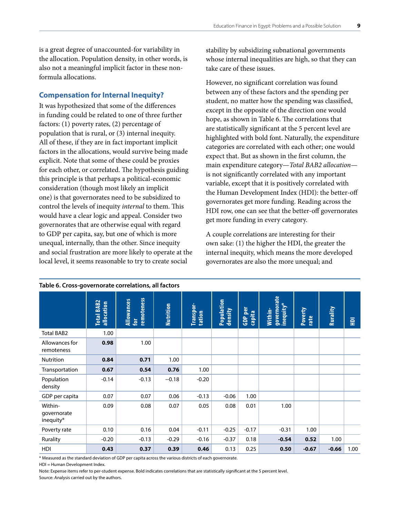<span id="page-10-0"></span>is a great degree of unaccounted-for variability in the allocation. Population density, in other words, is also not a meaningful implicit factor in these nonformula allocations.

#### **Compensation for Internal Inequity?**

It was hypothesized that some of the differences in funding could be related to one of three further factors: (1) poverty rates, (2) percentage of population that is rural, or (3) internal inequity. All of these, if they are in fact important implicit factors in the allocations, would survive being made explicit. Note that some of these could be proxies for each other, or correlated. The hypothesis guiding this principle is that perhaps a political-economic consideration (though most likely an implicit one) is that governorates need to be subsidized to control the levels of inequity *internal* to them. This would have a clear logic and appeal. Consider two governorates that are otherwise equal with regard to GDP per capita, say, but one of which is more unequal, internally, than the other. Since inequity and social frustration are more likely to operate at the local level, it seems reasonable to try to create social

stability by subsidizing subnational governments whose internal inequalities are high, so that they can take care of these issues.

However, no significant correlation was found between any of these factors and the spending per student, no matter how the spending was classified, except in the opposite of the direction one would hope, as shown in Table 6. The correlations that are statistically significant at the 5 percent level are highlighted with bold font. Naturally, the expenditure categories are correlated with each other; one would expect that. But as shown in the first column, the main expenditure category—*Total BAB2 allocation* is not significantly correlated with any important variable, except that it is positively correlated with the Human Development Index (HDI): the better-off governorates get more funding. Reading across the HDI row, one can see that the better-off governorates get more funding in every category.

A couple correlations are interesting for their own sake: (1) the higher the HDI, the greater the internal inequity, which means the more developed governorates are also the more unequal; and

|                                     | Total BAB2<br>allocation | remoteness<br><b>Allowances</b><br><b>tor</b> | Nutrition | Transpor-<br>tation | Population<br>density | GDP per<br>capita<br>GDP | governorate<br>inequity*<br>Within- | Poverty<br>rate | Rurality | $\overline{a}$ |
|-------------------------------------|--------------------------|-----------------------------------------------|-----------|---------------------|-----------------------|--------------------------|-------------------------------------|-----------------|----------|----------------|
| <b>Total BAB2</b>                   | 1.00                     |                                               |           |                     |                       |                          |                                     |                 |          |                |
| Allowances for<br>remoteness        | 0.98                     | 1.00                                          |           |                     |                       |                          |                                     |                 |          |                |
| <b>Nutrition</b>                    | 0.84                     | 0.71                                          | 1.00      |                     |                       |                          |                                     |                 |          |                |
| Transportation                      | 0.67                     | 0.54                                          | 0.76      | 1.00                |                       |                          |                                     |                 |          |                |
| Population<br>density               | $-0.14$                  | $-0.13$                                       | $-0.18$   | $-0.20$             |                       |                          |                                     |                 |          |                |
| GDP per capita                      | 0.07                     | 0.07                                          | 0.06      | $-0.13$             | $-0.06$               | 1.00                     |                                     |                 |          |                |
| Within-<br>governorate<br>inequity* | 0.09                     | 0.08                                          | 0.07      | 0.05                | 0.08                  | 0.01                     | 1.00                                |                 |          |                |
| Poverty rate                        | 0.10                     | 0.16                                          | 0.04      | $-0.11$             | $-0.25$               | $-0.17$                  | $-0.31$                             | 1.00            |          |                |
| Rurality                            | $-0.20$                  | $-0.13$                                       | $-0.29$   | $-0.16$             | $-0.37$               | 0.18                     | $-0.54$                             | 0.52            | 1.00     |                |
| HDI                                 | 0.43                     | 0.37                                          | 0.39      | 0.46                | 0.13                  | 0.25                     | 0.50                                | $-0.67$         | $-0.66$  | 1.00           |

#### **Table 6. Cross-governorate correlations, all factors**

\* Measured as the standard deviation of GDP per capita across the various districts of each governorate.

HDI = Human Development Index.

Note: Expense items refer to per-student expense. Bold indicates correlations that are statistically significant at the 5 percent level. Source: Analysis carried out by the authors.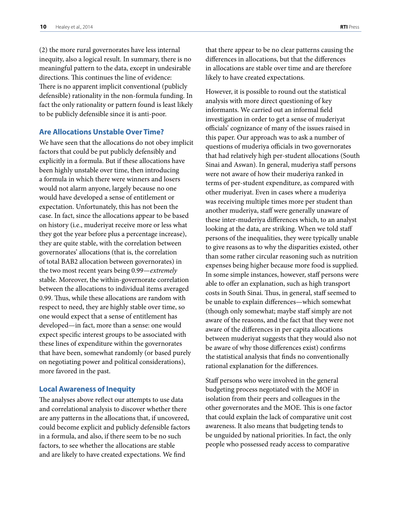<span id="page-11-0"></span>(2) the more rural governorates have less internal inequity, also a logical result. In summary, there is no meaningful pattern to the data, except in undesirable directions. This continues the line of evidence: There is no apparent implicit conventional (publicly defensible) rationality in the non-formula funding. In fact the only rationality or pattern found is least likely to be publicly defensible since it is anti-poor.

#### **Are Allocations Unstable Over Time?**

We have seen that the allocations do not obey implicit factors that could be put publicly defensibly and explicitly in a formula. But if these allocations have been highly unstable over time, then introducing a formula in which there were winners and losers would not alarm anyone, largely because no one would have developed a sense of entitlement or expectation. Unfortunately, this has not been the case. In fact, since the allocations appear to be based on history (i.e., muderiyat receive more or less what they got the year before plus a percentage increase), they are quite stable, with the correlation between governorates' allocations (that is, the correlation of total BAB2 allocation between governorates) in the two most recent years being 0.99—*extremely* stable. Moreover, the within-governorate correlation between the allocations to individual items averaged 0.99. Thus, while these allocations are random with respect to need, they are highly stable over time, so one would expect that a sense of entitlement has developed—in fact, more than a sense: one would expect specific interest groups to be associated with these lines of expenditure within the governorates that have been, somewhat randomly (or based purely on negotiating power and political considerations), more favored in the past.

#### **Local Awareness of Inequity**

The analyses above reflect our attempts to use data and correlational analysis to discover whether there are any patterns in the allocations that, if uncovered, could become explicit and publicly defensible factors in a formula, and also, if there seem to be no such factors, to see whether the allocations are stable and are likely to have created expectations. We find

that there appear to be no clear patterns causing the differences in allocations, but that the differences in allocations are stable over time and are therefore likely to have created expectations.

However, it is possible to round out the statistical analysis with more direct questioning of key informants. We carried out an informal field investigation in order to get a sense of muderiyat officials' cognizance of many of the issues raised in this paper. Our approach was to ask a number of questions of muderiya officials in two governorates that had relatively high per-student allocations (South Sinai and Aswan). In general, muderiya staff persons were not aware of how their muderiya ranked in terms of per-student expenditure, as compared with other muderiyat. Even in cases where a muderiya was receiving multiple times more per student than another muderiya, staff were generally unaware of these inter-muderiya differences which, to an analyst looking at the data, are striking. When we told staff persons of the inequalities, they were typically unable to give reasons as to why the disparities existed, other than some rather circular reasoning such as nutrition expenses being higher because more food is supplied. In some simple instances, however, staff persons were able to offer an explanation, such as high transport costs in South Sinai. Thus, in general, staff seemed to be unable to explain differences—which somewhat (though only somewhat; maybe staff simply are not aware of the reasons, and the fact that they were not aware of the differences in per capita allocations between muderiyat suggests that they would also not be aware of why those differences exist) confirms the statistical analysis that finds no conventionally rational explanation for the differences.

Staff persons who were involved in the general budgeting process negotiated with the MOF in isolation from their peers and colleagues in the other governorates and the MOE. This is one factor that could explain the lack of comparative unit cost awareness. It also means that budgeting tends to be unguided by national priorities. In fact, the only people who possessed ready access to comparative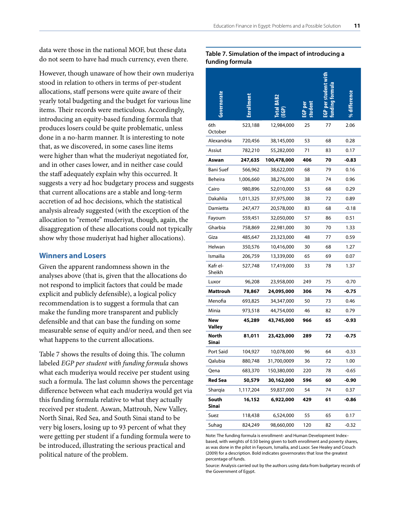<span id="page-12-0"></span>data were those in the national MOF, but these data do not seem to have had much currency, even there.

However, though unaware of how their own muderiya stood in relation to others in terms of per-student allocations, staff persons were quite aware of their yearly total budgeting and the budget for various line items. Their records were meticulous. Accordingly, introducing an equity-based funding formula that produces losers could be quite problematic, unless done in a no-harm manner. It is interesting to note that, as we discovered, in some cases line items were higher than what the muderiyat negotiated for, and in other cases lower, and in neither case could the staff adequately explain why this occurred. It suggests a very ad hoc budgetary process and suggests that current allocations are a stable and long-term accretion of ad hoc decisions, which the statistical analysis already suggested (with the exception of the allocation to "remote" muderiyat, though, again, the disaggregation of these allocations could not typically show why those muderiyat had higher allocations).

### **Winners and Losers**

Given the apparent randomness shown in the analyses above (that is, given that the allocations do not respond to implicit factors that could be made explicit and publicly defensible), a logical policy recommendation is to suggest a formula that can make the funding more transparent and publicly defensible and that can base the funding on some measurable sense of equity and/or need, and then see what happens to the current allocations.

Table 7 shows the results of doing this. The column labeled *EGP per student with funding formula* shows what each muderiya would receive per student using such a formula. The last column shows the percentage difference between what each muderiya would get via this funding formula relative to what they actually received per student. Aswan, Mattrouh, New Valley, North Sinai, Red Sea, and South Sinai stand to be very big losers, losing up to 93 percent of what they were getting per student if a funding formula were to be introduced, illustrating the serious practical and political nature of the problem.

#### **Table 7. Simulation of the impact of introducing a funding formula**

| overnorate         |           | ن<br>و      |     |    |         |
|--------------------|-----------|-------------|-----|----|---------|
| 6th<br>October     | 523,188   | 12,984,000  | 25  | 77 | 2.06    |
| Alexandria         | 720,456   | 38,145,000  | 53  | 68 | 0.28    |
| Assiut             | 782,210   | 55,282,000  | 71  | 83 | 0.17    |
| Aswan              | 247,635   | 100,478,000 | 406 | 70 | -0.83   |
| Bani Suef          | 566,962   | 38,622,000  | 68  | 79 | 0.16    |
| Beheira            | 1,006,660 | 38,276,000  | 38  | 74 | 0.96    |
| Cairo              | 980,896   | 52,010,000  | 53  | 68 | 0.29    |
| Dakahlia           | 1,011,325 | 37,975,000  | 38  | 72 | 0.89    |
| Damietta           | 247,477   | 20,578,000  | 83  | 68 | $-0.18$ |
| Fayoum             | 559,451   | 32,050,000  | 57  | 86 | 0.51    |
| Gharbia            | 758,869   | 22,981,000  | 30  | 70 | 1.33    |
| Giza               | 485,647   | 23,323,000  | 48  | 77 | 0.59    |
| Helwan             | 350,576   | 10,416,000  | 30  | 68 | 1.27    |
| Ismailia           | 206,759   | 13,339,000  | 65  | 69 | 0.07    |
| Kafr el-<br>Sheikh | 527,748   | 17,419,000  | 33  | 78 | 1.37    |
| Luxor              | 96,208    | 23,958,000  | 249 | 75 | $-0.70$ |
| Mattrouh           | 78,867    | 24,095,000  | 306 | 76 | -0.75   |
| Menofia            | 693,825   | 34,347,000  | 50  | 73 | 0.46    |
| Minia              | 973,518   | 44,754,000  | 46  | 82 | 0.79    |
| New<br>Valley      | 45,289    | 43,745,000  | 966 | 65 | -0.93   |
| North<br>Sinai     | 81,011    | 23,423,000  | 289 | 72 | $-0.75$ |
| Port Said          | 104,927   | 10,078,000  | 96  | 64 | $-0.33$ |
| Qalubia            | 880,748   | 31,700,0009 | 36  | 72 | 1.00    |
| Qena               | 683,370   | 150,380,000 | 220 | 78 | $-0.65$ |
| Red Sea            | 50,579    | 30,162,000  | 596 | 60 | -0.90   |
| Shargia            | 1,117,204 | 59,837,000  | 54  | 74 | 0.37    |
| South<br>Sinai     | 16,152    | 6,922,000   | 429 | 61 | -0.86   |
| Suez               | 118,438   | 6,524,000   | 55  | 65 | 0.17    |
| Suhag              | 824,249   | 98,660,000  | 120 | 82 | $-0.32$ |

Note: The funding formula is enrollment- and Human Development Index– based, with weights of 0.50 being given to both enrollment and poverty shares, as was done in the pilot in Fayoum, Ismailia, and Luxor. See Healey and Crouch (2009) for a description. Bold indicates governorates that lose the greatest percentage of funds.

Source: Analysis carried out by the authors using data from budgetary records of the Government of Egypt.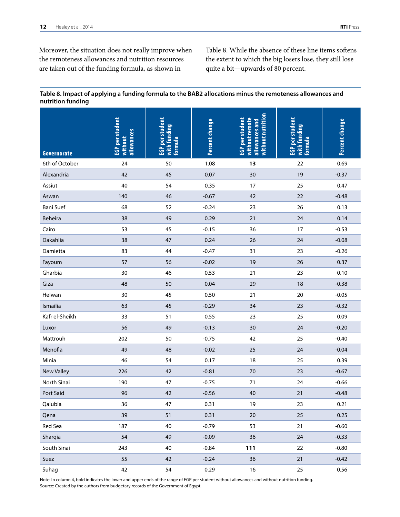Moreover, the situation does not really improve when the remoteness allowances and nutrition resources are taken out of the funding formula, as shown in

Table 8. While the absence of these line items softens the extent to which the big losers lose, they still lose quite a bit—upwards of 80 percent.

#### **Table 8. Impact of applying a funding formula to the BAB2 allocations minus the remoteness allowances and nutrition funding**

| Governorate       | EGP per student<br>allowances<br>without | EGP per student<br>with funding<br>formula | Percent change | without nutrition<br>without remote<br>EGP per student<br>allowances and | EGP per student<br>with funding<br>formula | Percent change |
|-------------------|------------------------------------------|--------------------------------------------|----------------|--------------------------------------------------------------------------|--------------------------------------------|----------------|
| 6th of October    | 24                                       | 50                                         | 1.08           | 13                                                                       | 22                                         | 0.69           |
| Alexandria        | 42                                       | 45                                         | 0.07           | 30                                                                       | 19                                         | $-0.37$        |
| Assiut            | 40                                       | 54                                         | 0.35           | 17                                                                       | 25                                         | 0.47           |
| Aswan             | 140                                      | 46                                         | $-0.67$        | 42                                                                       | 22                                         | $-0.48$        |
| Bani Suef         | 68                                       | 52                                         | $-0.24$        | 23                                                                       | 26                                         | 0.13           |
| Beheira           | 38                                       | 49                                         | 0.29           | 21                                                                       | 24                                         | 0.14           |
| Cairo             | 53                                       | 45                                         | $-0.15$        | 36                                                                       | 17                                         | $-0.53$        |
| Dakahlia          | 38                                       | 47                                         | 0.24           | 26                                                                       | 24                                         | $-0.08$        |
| Damietta          | 83                                       | 44                                         | $-0.47$        | 31                                                                       | 23                                         | $-0.26$        |
| Fayoum            | 57                                       | 56                                         | $-0.02$        | 19                                                                       | 26                                         | 0.37           |
| Gharbia           | 30                                       | 46                                         | 0.53           | 21                                                                       | 23                                         | 0.10           |
| Giza              | 48                                       | 50                                         | 0.04           | 29                                                                       | 18                                         | $-0.38$        |
| Helwan            | 30                                       | 45                                         | 0.50           | 21                                                                       | 20                                         | $-0.05$        |
| Ismailia          | 63                                       | 45                                         | $-0.29$        | 34                                                                       | 23                                         | $-0.32$        |
| Kafr el-Sheikh    | 33                                       | 51                                         | 0.55           | 23                                                                       | 25                                         | 0.09           |
| Luxor             | 56                                       | 49                                         | $-0.13$        | 30                                                                       | 24                                         | $-0.20$        |
| Mattrouh          | 202                                      | 50                                         | $-0.75$        | 42                                                                       | 25                                         | $-0.40$        |
| Menofia           | 49                                       | 48                                         | $-0.02$        | 25                                                                       | 24                                         | $-0.04$        |
| Minia             | 46                                       | 54                                         | 0.17           | 18                                                                       | 25                                         | 0.39           |
| <b>New Valley</b> | 226                                      | 42                                         | $-0.81$        | 70                                                                       | 23                                         | $-0.67$        |
| North Sinai       | 190                                      | 47                                         | $-0.75$        | 71                                                                       | 24                                         | $-0.66$        |
| Port Said         | 96                                       | 42                                         | $-0.56$        | 40                                                                       | 21                                         | $-0.48$        |
| Qalubia           | 36                                       | 47                                         | 0.31           | 19                                                                       | 23                                         | 0.21           |
| Qena              | 39                                       | 51                                         | 0.31           | $20\,$                                                                   | 25                                         | 0.25           |
| Red Sea           | 187                                      | 40                                         | $-0.79$        | 53                                                                       | 21                                         | $-0.60$        |
| Sharqia           | 54                                       | 49                                         | $-0.09$        | $36\,$                                                                   | 24                                         | $-0.33$        |
| South Sinai       | 243                                      | 40                                         | $-0.84$        | 111                                                                      | 22                                         | $-0.80$        |
| Suez              | 55                                       | 42                                         | $-0.24$        | $36\,$                                                                   | 21                                         | $-0.42$        |
| Suhag             | 42                                       | 54                                         | 0.29           | $16\,$                                                                   | 25                                         | 0.56           |

Note: In column 4, bold indicates the lower and upper ends of the range of EGP per student without allowances and without nutrition funding. Source: Created by the authors from budgetary records of the Government of Egypt.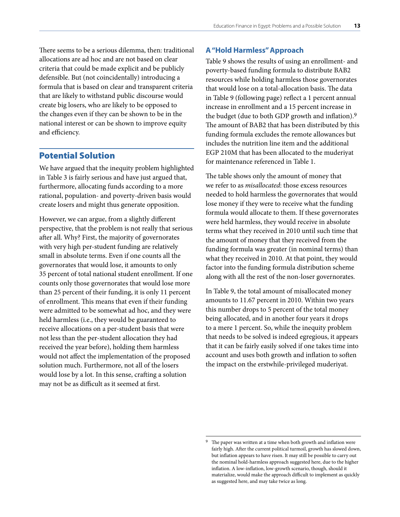<span id="page-14-0"></span>There seems to be a serious dilemma, then: traditional allocations are ad hoc and are not based on clear criteria that could be made explicit and be publicly defensible. But (not coincidentally) introducing a formula that is based on clear and transparent criteria that are likely to withstand public discourse would create big losers, who are likely to be opposed to the changes even if they can be shown to be in the national interest or can be shown to improve equity and efficiency.

## Potential Solution

We have argued that the inequity problem highlighted in Table 3 is fairly serious and have just argued that, furthermore, allocating funds according to a more rational, population- and poverty-driven basis would create losers and might thus generate opposition.

However, we can argue, from a slightly different perspective, that the problem is not really that serious after all. Why? First, the majority of governorates with very high per-student funding are relatively small in absolute terms. Even if one counts all the governorates that would lose, it amounts to only 35 percent of total national student enrollment. If one counts only those governorates that would lose more than 25 percent of their funding, it is only 11 percent of enrollment. This means that even if their funding were admitted to be somewhat ad hoc, and they were held harmless (i.e., they would be guaranteed to receive allocations on a per-student basis that were not less than the per-student allocation they had received the year before), holding them harmless would not affect the implementation of the proposed solution much. Furthermore, not all of the losers would lose by a lot. In this sense, crafting a solution may not be as difficult as it seemed at first.

#### **A "Hold Harmless" Approach**

Table 9 shows the results of using an enrollment- and poverty-based funding formula to distribute BAB2 resources while holding harmless those governorates that would lose on a total-allocation basis. The data in Table 9 (following page) reflect a 1 percent annual increase in enrollment and a 15 percent increase in the budget (due to both GDP growth and inflation).9 The amount of BAB2 that has been distributed by this funding formula excludes the remote allowances but includes the nutrition line item and the additional EGP 210M that has been allocated to the muderiyat for maintenance referenced in Table 1.

The table shows only the amount of money that we refer to as *misallocated*: those excess resources needed to hold harmless the governorates that would lose money if they were to receive what the funding formula would allocate to them. If these governorates were held harmless, they would receive in absolute terms what they received in 2010 until such time that the amount of money that they received from the funding formula was greater (in nominal terms) than what they received in 2010. At that point, they would factor into the funding formula distribution scheme along with all the rest of the non-loser governorates.

In Table 9, the total amount of misallocated money amounts to 11.67 percent in 2010. Within two years this number drops to 5 percent of the total money being allocated, and in another four years it drops to a mere 1 percent. So, while the inequity problem that needs to be solved is indeed egregious, it appears that it can be fairly easily solved if one takes time into account and uses both growth and inflation to soften the impact on the erstwhile-privileged muderiyat.

The paper was written at a time when both growth and inflation were fairly high. After the current political turmoil, growth has slowed down, but inflation appears to have risen. It may still be possible to carry out the nominal hold-harmless approach suggested here, due to the higher inflation. A low-inflation, low-growth scenario, though, should it materialize, would make the approach difficult to implement as quickly as suggested here, and may take twice as long.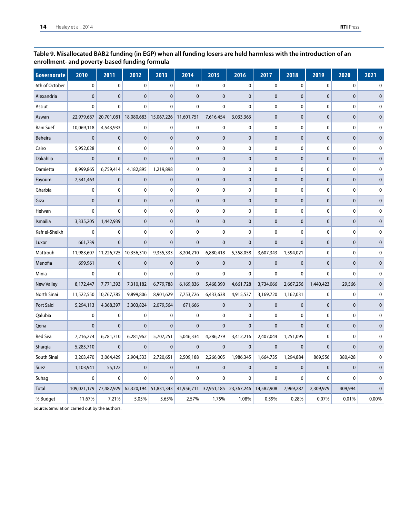#### **Table 9. Misallocated BAB2 funding (in EGP) when all funding losers are held harmless with the introduction of an enrollment- and poverty-based funding formula**

| Governorate       | 2010         | 2011         | 2012         | 2013         | 2014         | 2015             | 2016         | 2017         | 2018         | 2019         | 2020         | 2021        |
|-------------------|--------------|--------------|--------------|--------------|--------------|------------------|--------------|--------------|--------------|--------------|--------------|-------------|
| 6th of October    | $\pmb{0}$    | $\pmb{0}$    | 0            | 0            | $\pmb{0}$    | $\pmb{0}$        | $\pmb{0}$    | 0            | $\pmb{0}$    | 0            | $\pmb{0}$    | 0           |
| Alexandria        | $\mathbf{0}$ | $\mathbf{0}$ | $\mathbf{0}$ | $\mathbf{0}$ | $\mathbf{0}$ | $\pmb{0}$        | $\pmb{0}$    | $\mathbf 0$  | $\mathbf{0}$ | $\mathbf 0$  | $\pmb{0}$    | $\pmb{0}$   |
| Assiut            | $\mathbf 0$  | $\mathbf{0}$ | 0            | $\mathbf 0$  | $\mathbf 0$  | $\mathbf 0$      | 0            | $\mathbf 0$  | 0            | 0            | 0            | 0           |
| Aswan             | 22,979,687   | 20,701,081   | 18,080,683   | 15,067,226   | 11,601,751   | 7,616,454        | 3,033,363    | $\mathbf 0$  | $\mathbf{0}$ | $\mathbf{0}$ | $\pmb{0}$    | $\mathbf 0$ |
| <b>Bani Suef</b>  | 10,069,118   | 4,543,933    | 0            | 0            | $\pmb{0}$    | $\boldsymbol{0}$ | 0            | 0            | 0            | 0            | 0            | 0           |
| Beheira           | $\mathbf{0}$ | $\mathbf{0}$ | $\mathbf{0}$ | $\mathbf{0}$ | $\mathbf{0}$ | $\pmb{0}$        | $\pmb{0}$    | $\mathbf 0$  | $\mathbf{0}$ | $\mathbf 0$  | $\pmb{0}$    | $\pmb{0}$   |
| Cairo             | 5,952,028    | 0            | 0            | 0            | 0            | 0                | 0            | 0            | $\mathbf 0$  | 0            | 0            | 0           |
| Dakahlia          | $\pmb{0}$    | $\mathbf{0}$ | $\mathbf{0}$ | $\pmb{0}$    | $\pmb{0}$    | $\pmb{0}$        | $\pmb{0}$    | $\mathbf 0$  | $\mathbf 0$  | $\mathbf 0$  | $\pmb{0}$    | $\pmb{0}$   |
| Damietta          | 8,999,865    | 6,759,414    | 4,182,895    | 1,219,898    | $\mathbf 0$  | 0                | $\mathbf 0$  | $\mathbf 0$  | 0            | $\mathbf 0$  | 0            | 0           |
| Fayoum            | 2,541,463    | $\mathbf{0}$ | $\mathbf{0}$ | $\mathbf{0}$ | $\mathbf{0}$ | $\pmb{0}$        | $\pmb{0}$    | $\mathbf 0$  | $\mathbf{0}$ | $\mathbf{0}$ | $\pmb{0}$    | $\pmb{0}$   |
| Gharbia           | 0            | $\mathbf 0$  | 0            | 0            | 0            | 0                | 0            | $\mathbf 0$  | 0            | 0            | 0            | 0           |
| Giza              | $\mathbf 0$  | $\mathbf{0}$ | $\mathbf 0$  | $\pmb{0}$    | $\pmb{0}$    | $\mathbf 0$      | $\pmb{0}$    | $\mathbf 0$  | $\pmb{0}$    | $\mathbf 0$  | $\pmb{0}$    | $\mathbf 0$ |
| Helwan            | $\mathbf 0$  | $\mathbf{0}$ | 0            | $\mathbf 0$  | $\mathbf 0$  | 0                | 0            | $\mathbf 0$  | 0            | 0            | 0            | 0           |
| Ismailia          | 3,335,205    | 1,442,939    | $\mathbf{0}$ | $\mathbf{0}$ | $\mathbf{0}$ | $\pmb{0}$        | $\pmb{0}$    | $\mathbf 0$  | $\mathbf{0}$ | $\mathbf{0}$ | $\pmb{0}$    | $\mathbf 0$ |
| Kafr el-Sheikh    | $\mathbf 0$  | 0            | $\mathbf 0$  | $\mathbf 0$  | $\pmb{0}$    | $\pmb{0}$        | $\mathbf 0$  | $\mathbf 0$  | $\pmb{0}$    | 0            | 0            | 0           |
| Luxor             | 661,739      | $\mathbf{0}$ | $\mathbf{0}$ | $\mathbf{0}$ | $\mathbf{0}$ | $\mathbf{0}$     | $\mathbf{0}$ | $\mathbf 0$  | $\mathbf{0}$ | $\mathbf{0}$ | $\mathbf{0}$ | $\mathbf 0$ |
| Mattrouh          | 11,983,607   | 11,226,725   | 10,356,310   | 9,355,333    | 8,204,210    | 6,880,418        | 5,358,058    | 3,607,343    | 1,594,021    | 0            | 0            | 0           |
| Menofia           | 699,961      | $\mathbf{0}$ | $\bf{0}$     | $\bf{0}$     | $\pmb{0}$    | $\pmb{0}$        | $\bf{0}$     | $\mathbf 0$  | $\bf{0}$     | $\mathbf{0}$ | $\pmb{0}$    | $\pmb{0}$   |
| Minia             | 0            | $\mathbf 0$  | 0            | $\mathbf{0}$ | $\mathbf{0}$ | $\mathbf 0$      | $\mathbf{0}$ | $\mathbf{0}$ | $\mathbf{0}$ | $\mathbf{0}$ | $\mathbf 0$  | 0           |
| <b>New Valley</b> | 8,172,447    | 7,771,393    | 7,310,182    | 6,779,788    | 6,169,836    | 5,468,390        | 4,661,728    | 3,734,066    | 2,667,256    | 1,440,423    | 29,566       | $\mathbf 0$ |
| North Sinai       | 11,522,550   | 10,767,785   | 9,899,806    | 8,901,629    | 7,753,726    | 6,433,638        | 4,915,537    | 3,169,720    | 1,162,031    | 0            | 0            | 0           |
| Port Said         | 5,294,113    | 4,368,397    | 3,303,824    | 2,079,564    | 671,666      | $\mathbf 0$      | $\bf{0}$     | $\mathbf{0}$ | $\mathbf 0$  | $\mathbf{0}$ | $\pmb{0}$    | $\mathbf 0$ |
| Qalubia           | $\bf{0}$     | $\pmb{0}$    | 0            | 0            | 0            | 0                | 0            | 0            | 0            | 0            | 0            | 0           |
| Qena              | $\mathbf 0$  | $\mathbf 0$  | $\mathbf{0}$ | $\mathbf{0}$ | $\mathbf{0}$ | $\mathbf 0$      | $\mathbf{0}$ | $\mathbf 0$  | $\mathbf{0}$ | $\mathbf{0}$ | $\mathbf{0}$ | $\mathbf 0$ |
| <b>Red Sea</b>    | 7,216,274    | 6,781,710    | 6,281,962    | 5,707,251    | 5,046,334    | 4,286,279        | 3,412,216    | 2,407,044    | 1,251,095    | 0            | 0            | 0           |
| Sharqia           | 5,285,710    | $\mathbf{0}$ | $\mathbf 0$  | $\pmb{0}$    | $\pmb{0}$    | $\mathbf 0$      | $\bf{0}$     | $\mathbf{0}$ | $\mathbf{0}$ | $\mathbf 0$  | $\pmb{0}$    | $\pmb{0}$   |
| South Sinai       | 3,203,470    | 3,064,429    | 2,904,533    | 2,720,651    | 2,509,188    | 2,266,005        | 1,986,345    | 1,664,735    | 1,294,884    | 869,556      | 380,428      | 0           |
| Suez              | 1,103,941    | 55,122       | $\mathbf{0}$ | $\mathbf 0$  | $\pmb{0}$    | $\pmb{0}$        | $\mathbf 0$  | $\mathbf{0}$ | $\pmb{0}$    | 0            | $\pmb{0}$    | 0           |
| Suhag             | $\mathbf 0$  | $\mathbf{0}$ | 0            | $\mathbf 0$  | $\mathbf 0$  | 0                | 0            | 0            | 0            | 0            | 0            | 0           |
| <b>Total</b>      | 109,021,179  | 77,482,929   | 62,320,194   | 51,831,343   | 41,956,711   | 32,951,185       | 23,367,246   | 14,582,908   | 7,969,287    | 2,309,979    | 409,994      | $\mathbf 0$ |
| % Budget          | 11.67%       | 7.21%        | 5.05%        | 3.65%        | 2.57%        | 1.75%            | 1.08%        | 0.59%        | 0.28%        | 0.07%        | 0.01%        | 0.00%       |

Source: Simulation carried out by the authors.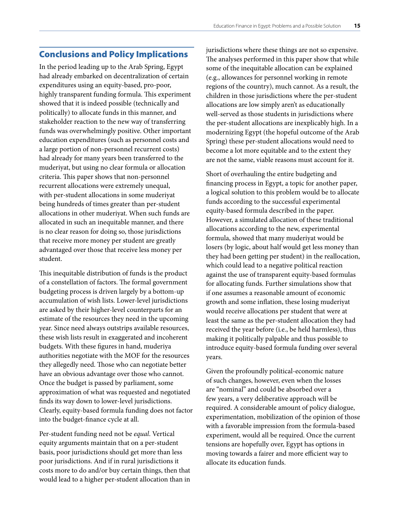## <span id="page-16-0"></span>Conclusions and Policy Implications

In the period leading up to the Arab Spring, Egypt had already embarked on decentralization of certain expenditures using an equity-based, pro-poor, highly transparent funding formula. This experiment showed that it is indeed possible (technically and politically) to allocate funds in this manner, and stakeholder reaction to the new way of transferring funds was overwhelmingly positive. Other important education expenditures (such as personnel costs and a large portion of non-personnel recurrent costs) had already for many years been transferred to the muderiyat, but using no clear formula or allocation criteria. This paper shows that non-personnel recurrent allocations were extremely unequal, with per-student allocations in some muderiyat being hundreds of times greater than per-student allocations in other muderiyat. When such funds are allocated in such an inequitable manner, and there is no clear reason for doing so, those jurisdictions that receive more money per student are greatly advantaged over those that receive less money per student.

This inequitable distribution of funds is the product of a constellation of factors. The formal government budgeting process is driven largely by a bottom-up accumulation of wish lists. Lower-level jurisdictions are asked by their higher-level counterparts for an estimate of the resources they need in the upcoming year. Since need always outstrips available resources, these wish lists result in exaggerated and incoherent budgets. With these figures in hand, muderiya authorities negotiate with the MOF for the resources they allegedly need. Those who can negotiate better have an obvious advantage over those who cannot. Once the budget is passed by parliament, some approximation of what was requested and negotiated finds its way down to lower-level jurisdictions. Clearly, equity-based formula funding does not factor into the budget-finance cycle at all.

Per-student funding need not be *equal*. Vertical equity arguments maintain that on a per-student basis, poor jurisdictions should get more than less poor jurisdictions. And if in rural jurisdictions it costs more to do and/or buy certain things, then that would lead to a higher per-student allocation than in

jurisdictions where these things are not so expensive. The analyses performed in this paper show that while some of the inequitable allocation can be explained (e.g., allowances for personnel working in remote regions of the country), much cannot. As a result, the children in those jurisdictions where the per-student allocations are low simply aren't as educationally well-served as those students in jurisdictions where the per-student allocations are inexplicably high. In a modernizing Egypt (the hopeful outcome of the Arab Spring) these per-student allocations would need to become a lot more equitable and to the extent they are not the same, viable reasons must account for it.

Short of overhauling the entire budgeting and financing process in Egypt, a topic for another paper, a logical solution to this problem would be to allocate funds according to the successful experimental equity-based formula described in the paper. However, a simulated allocation of these traditional allocations according to the new, experimental formula, showed that many muderiyat would be losers (by logic, about half would get less money than they had been getting per student) in the reallocation, which could lead to a negative political reaction against the use of transparent equity-based formulas for allocating funds. Further simulations show that if one assumes a reasonable amount of economic growth and some inflation, these losing muderiyat would receive allocations per student that were at least the same as the per-student allocation they had received the year before (i.e., be held harmless), thus making it politically palpable and thus possible to introduce equity-based formula funding over several years.

Given the profoundly political-economic nature of such changes, however, even when the losses are "nominal" and could be absorbed over a few years, a very deliberative approach will be required. A considerable amount of policy dialogue, experimentation, mobilization of the opinion of those with a favorable impression from the formula-based experiment, would all be required. Once the current tensions are hopefully over, Egypt has options in moving towards a fairer and more efficient way to allocate its education funds.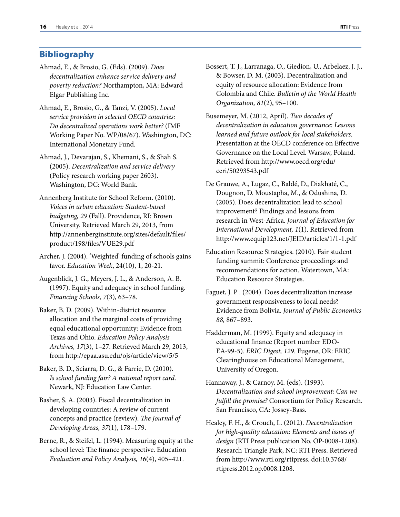## <span id="page-17-0"></span>Bibliography

- Ahmad, E., & Brosio, G. (Eds). (2009). *Does decentralization enhance service delivery and poverty reduction?* Northampton, MA: Edward Elgar Publishing Inc.
- Ahmad, E., Brosio, G., & Tanzi, V. (2005). *Local service provision in selected OECD countries: Do decentralized operations work better?* (IMF Working Paper No. WP/08/67). Washington, DC: International Monetary Fund.
- Ahmad, J., Devarajan, S., Khemani, S., & Shah S. (2005). *Decentralization and service delivery* (Policy research working paper 2603). Washington, DC: World Bank.
- Annenberg Institute for School Reform. (2010). *Voices in urban education: Student-based budgeting, 29* (Fall). Providence, RI: Brown University. Retrieved March 29, 2013, from [http://annenberginstitute.org/sites/default/files/](http://annenberginstitute.org/sites/default/files/product/198/files/VUE29.pdf) product/198/files/VUE29.pdf
- Archer, J. (2004). 'Weighted' funding of schools gains favor. *Education Week*, 24(10), 1, 20-21.
- Augenblick, J. G., Meyers, J. L., & Anderson, A. B. (1997). Equity and adequacy in school funding. *Financing Schools, 7*(3), 63–78.
- Baker, B. D. (2009). Within-district resource allocation and the marginal costs of providing equal educational opportunity: Evidence from Texas and Ohio. *Education Policy Analysis Archives, 17*(3), 1–27. Retrieved March 29, 2013, from http://epaa.asu.edu/ojs/article/view/5/5
- Baker, B. D., Sciarra, D. G., & Farrie, D. (2010). *Is school funding fair? A national report card.* Newark, NJ: Education Law Center.
- Basher, S. A. (2003). Fiscal decentralization in developing countries: A review of current concepts and practice (review). *The Journal of Developing Areas, 37*(1), 178–179.
- Berne, R., & Steifel, L. (1994). Measuring equity at the school level: The finance perspective. Education *Evaluation and Policy Analysis, 16*(4), 405–421.
- Bossert, T. J., Larranaga, O., Giedion, U., Arbelaez, J. J., & Bowser, D. M. (2003). Decentralization and equity of resource allocation: Evidence from Colombia and Chile. *Bulletin of the World Health Organization, 81*(2), 95–100.
- Busemeyer, M. (2012, April). *Two decades of decentralization in education governance: Lessons learned and future outlook for local stakeholders.* Presentation at the OECD conference on Effective Governance on the Local Level. Warsaw, Poland. [Retrieved from http://www.oecd.org/edu/](http://www.oecd.org/edu/ceri/50293543.pdf) ceri/50293543.pdf
- De Grauwe, A., Lugaz, C., Baldé, D., Diakhaté, C., Dougnon, D. Moustapha, M., & Odushina, D. (2005). Does decentralization lead to school improvement? Findings and lessons from research in West-Africa. *Journal of Education for International Development, 1*(1). Retrieved from http://www.equip123.net/JEID/articles/1/1-1.pdf
- Education Resource Strategies. (2010). Fair student funding summit: Conference proceedings and recommendations for action. Watertown, MA: Education Resource Strategies.
- Faguet, J. P . (2004). Does decentralization increase government responsiveness to local needs? Evidence from Bolivia. *Journal of Public Economics 88,* 867–893.
- Hadderman, M. (1999). Equity and adequacy in educational finance (Report number EDO-EA-99-5). *ERIC Digest, 129*. Eugene, OR: ERIC Clearinghouse on Educational Management, University of Oregon.
- Hannaway, J., & Carnoy, M. (eds). (1993). *Decentralization and school improvement: Can we fulfill the promise?* Consortium for Policy Research. San Francisco, CA: Jossey-Bass.
- Healey, F. H., & Crouch, L. (2012). *Decentralization for high-quality education: Elements and issues of design* (RTI Press publication No. OP-0008-1208). Research Triangle Park, NC: RTI Press. Retrieved [from http://www.rti.org/rtipress. doi:10.3768/](http://dx.doi.org/10.3768/rtipress.2012.op.0008.1208) rtipress.2012.op.0008.1208.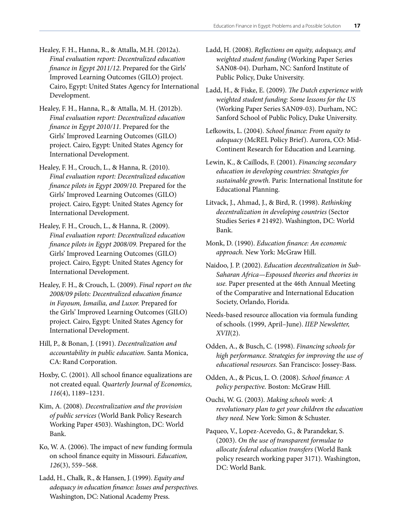- Healey, F. H., Hanna, R., & Attalla, M.H. (2012a). *Final evaluation report: Decentralized education finance in Egypt 2011/12*. Prepared for the Girls' Improved Learning Outcomes (GILO) project. Cairo, Egypt: United States Agency for International Development.
- Healey, F. H., Hanna, R., & Attalla, M. H. (2012b). *Final evaluation report: Decentralized education finance in Egypt 2010/11.* Prepared for the Girls' Improved Learning Outcomes (GILO) project. Cairo, Egypt: United States Agency for International Development.
- Healey, F. H., Crouch, L., & Hanna, R. (2010). *Final evaluation report: Decentralized education finance pilots in Egypt 2009/10.* Prepared for the Girls' Improved Learning Outcomes (GILO) project. Cairo, Egypt: United States Agency for International Development.
- Healey, F. H., Crouch, L., & Hanna, R. (2009). *Final evaluation report: Decentralized education finance pilots in Egypt 2008/09.* Prepared for the Girls' Improved Learning Outcomes (GILO) project. Cairo, Egypt: United States Agency for International Development.
- Healey, F. H., & Crouch, L. (2009). *Final report on the 2008/09 pilots: Decentralized education finance in Fayoum, Ismailia, and Luxor.* Prepared for the Girls' Improved Learning Outcomes (GILO) project. Cairo, Egypt: United States Agency for International Development.
- Hill, P., & Bonan, J. (1991). *Decentralization and accountability in public education.* Santa Monica, CA: Rand Corporation.
- Hoxby, C. (2001). All school finance equalizations are not created equal. *Quarterly Journal of Economics, 116*(4), 1189–1231.
- Kim, A. (2008). *Decentralization and the provision of public services* (World Bank Policy Research Working Paper 4503). Washington, DC: World Bank.
- Ko, W. A. (2006). The impact of new funding formula on school finance equity in Missouri. *Education, 126*(3), 559–568.
- Ladd, H., Chalk, R., & Hansen, J. (1999). *Equity and adequacy in education finance: Issues and perspectives.* Washington, DC: National Academy Press.
- Ladd, H. (2008). *Reflections on equity, adequacy, and weighted student funding* (Working Paper Series SAN08-04). Durham, NC: Sanford Institute of Public Policy, Duke University.
- Ladd, H., & Fiske, E. (2009). *The Dutch experience with weighted student funding: Some lessons for the US* (Working Paper Series SAN09-03). Durham, NC: Sanford School of Public Policy, Duke University.
- Lefkowits, L. (2004). *School finance: From equity to adequacy* (McREL Policy Brief). Aurora, CO: Mid-Continent Research for Education and Learning.
- Lewin, K., & Caillods, F. (2001). *Financing secondary education in developing countries: Strategies for sustainable growth.* Paris: International Institute for Educational Planning.
- Litvack, J., Ahmad, J., & Bird, R. (1998). *Rethinking decentralization in developing countries* (Sector Studies Series # 21492). Washington, DC: World Bank.
- Monk, D. (1990). *Education finance: An economic approach.* New York: McGraw Hill.
- Naidoo, J. P. (2002). *Education decentralization in Sub-Saharan Africa—Espoused theories and theories in use.* Paper presented at the 46th Annual Meeting of the Comparative and International Education Society, Orlando, Florida.
- Needs-based resource allocation via formula funding of schools. (1999, April–June). *IIEP Newsletter, XVII*(2).
- Odden, A., & Busch, C. (1998). *Financing schools for high performance. Strategies for improving the use of educational resources.* San Francisco: Jossey-Bass.
- Odden, A., & Picus, L. O. (2008). *School finance: A policy perspective.* Boston: McGraw Hill.
- Ouchi, W. G. (2003). *Making schools work: A revolutionary plan to get your children the education they need.* New York: Simon & Schuster.
- Paqueo, V., Lopez-Acevedo, G., & Parandekar, S. (2003). *On the use of transparent formulae to allocate federal education transfers* (World Bank policy research working paper 3171). Washington, DC: World Bank.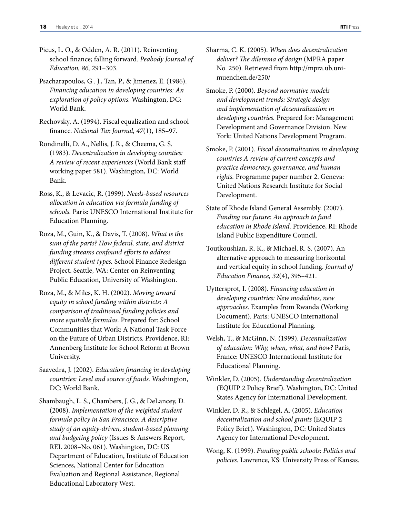- Picus, L. O., & Odden, A. R. (2011). Reinventing school finance; falling forward. *Peabody Journal of Education, 86,* 291–303.
- Psacharapoulos, G . J., Tan, P., & Jimenez, E. (1986). *Financing education in developing countries: An exploration of policy options.* Washington, DC: World Bank.
- Rechovsky, A. (1994). Fiscal equalization and school finance. *National Tax Journal, 47*(1), 185–97.
- Rondinelli, D. A., Nellis, J. R., & Cheema, G. S. (1983). *Decentralization in developing counties: A review of recent experiences* (World Bank staff working paper 581). Washington, DC: World Bank.
- Ross, K., & Levacic, R. (1999). *Needs-based resources allocation in education via formula funding of schools.* Paris: UNESCO International Institute for Education Planning.
- Roza, M., Guin, K., & Davis, T. (2008). *What is the sum of the parts? How federal, state, and district funding streams confound efforts to address different student types.* School Finance Redesign Project. Seattle, WA: Center on Reinventing Public Education, University of Washington.
- Roza, M., & Miles, K. H. (2002). *Moving toward equity in school funding within districts: A comparison of traditional funding policies and more equitable formulas.* Prepared for: School Communities that Work: A National Task Force on the Future of Urban Districts. Providence, RI: Annenberg Institute for School Reform at Brown University.
- Saavedra, J. (2002). *Education financing in developing countries: Level and source of funds.* Washington, DC: World Bank.
- Shambaugh, L. S., Chambers, J. G., & DeLancey, D. (2008). *Implementation of the weighted student formula policy in San Francisco: A descriptive study of an equity-driven, student-based planning and budgeting policy* (Issues & Answers Report, REL 2008–No. 061). Washington, DC: US Department of Education, Institute of Education Sciences, National Center for Education Evaluation and Regional Assistance, Regional Educational Laboratory West.
- Sharma, C. K. (2005). *When does decentralization deliver? The dilemma of design* (MPRA paper [No. 250\). Retrieved from http://mpra.ub.uni](http://mpra.ub.uni-muenchen.de/250/)muenchen.de/250/
- Smoke, P. (2000). *Beyond normative models and development trends: Strategic design and implementation of decentralization in developing countries.* Prepared for: Management Development and Governance Division. New York: United Nations Development Program.
- Smoke, P. (2001). *Fiscal decentralization in developing countries A review of current concepts and practice democracy, governance, and human rights.* Programme paper number 2. Geneva: United Nations Research Institute for Social Development.
- State of Rhode Island General Assembly. (2007). *Funding our future: An approach to fund education in Rhode Island.* Providence, RI: Rhode Island Public Expenditure Council.
- Toutkoushian, R. K., & Michael, R. S. (2007). An alternative approach to measuring horizontal and vertical equity in school funding. *Journal of Education Finance, 32*(4), 395–421.
- Uyttersprot, I. (2008). *Financing education in developing countries: New modalities, new approaches.* Examples from Rwanda (Working Document). Paris: UNESCO International Institute for Educational Planning.
- Welsh, T., & McGinn, N. (1999). *Decentralization of education: Why, when, what, and how?* Paris, France: UNESCO International Institute for Educational Planning.
- Winkler, D. (2005). *Understanding decentralization* (EQUIP 2 Policy Brief). Washington, DC: United States Agency for International Development.
- Winkler, D. R., & Schlegel, A. (2005). *Education decentralization and school grants* (EQUIP 2 Policy Brief). Washington, DC: United States Agency for International Development.
- Wong, K. (1999). *Funding public schools: Politics and policies.* Lawrence, KS: University Press of Kansas.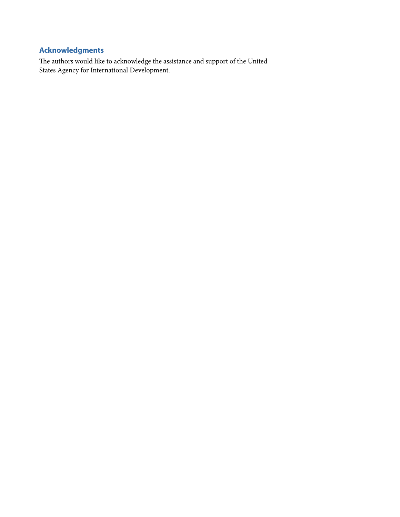# <span id="page-20-0"></span>**Acknowledgments**

The authors would like to acknowledge the assistance and support of the United States Agency for International Development.